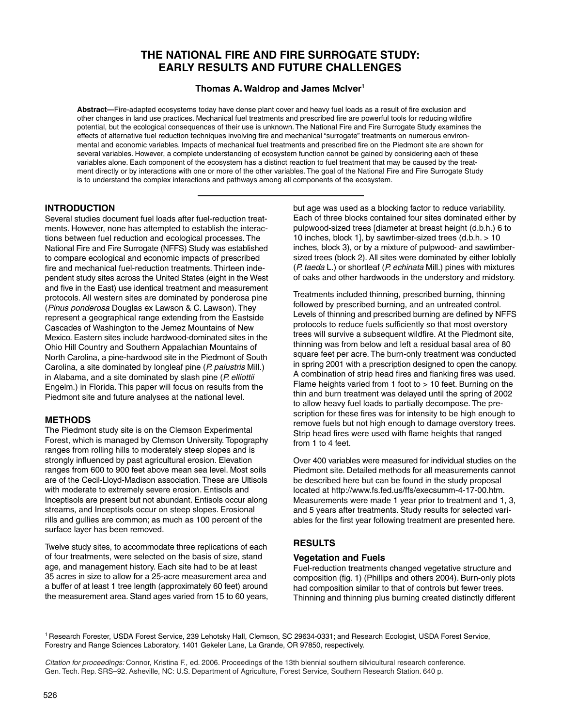# **THE NATIONAL FIRE AND FIRE SURROGATE STUDY: EARLY RESULTS AND FUTURE CHALLENGES**

## **Thomas A. Waldrop and James McIver1**

**Abstract—**Fire-adapted ecosystems today have dense plant cover and heavy fuel loads as a result of fire exclusion and other changes in land use practices. Mechanical fuel treatments and prescribed fire are powerful tools for reducing wildfire potential, but the ecological consequences of their use is unknown. The National Fire and Fire Surrogate Study examines the effects of alternative fuel reduction techniques involving fire and mechanical "surrogate" treatments on numerous environmental and economic variables. Impacts of mechanical fuel treatments and prescribed fire on the Piedmont site are shown for several variables. However, a complete understanding of ecosystem function cannot be gained by considering each of these variables alone. Each component of the ecosystem has a distinct reaction to fuel treatment that may be caused by the treatment directly or by interactions with one or more of the other variables. The goal of the National Fire and Fire Surrogate Study is to understand the complex interactions and pathways among all components of the ecosystem.

## **INTRODUCTION**

Several studies document fuel loads after fuel-reduction treatments. However, none has attempted to establish the interactions between fuel reduction and ecological processes. The National Fire and Fire Surrogate (NFFS) Study was established to compare ecological and economic impacts of prescribed fire and mechanical fuel-reduction treatments. Thirteen independent study sites across the United States (eight in the West and five in the East) use identical treatment and measurement protocols. All western sites are dominated by ponderosa pine (Pinus ponderosa Douglas ex Lawson & C. Lawson). They represent a geographical range extending from the Eastside Cascades of Washington to the Jemez Mountains of New Mexico. Eastern sites include hardwood-dominated sites in the Ohio Hill Country and Southern Appalachian Mountains of North Carolina, a pine-hardwood site in the Piedmont of South Carolina, a site dominated by longleaf pine (P. palustris Mill.) in Alabama, and a site dominated by slash pine  $(P.$  elliottii Engelm.) in Florida. This paper will focus on results from the Piedmont site and future analyses at the national level.

## **METHODS**

The Piedmont study site is on the Clemson Experimental Forest, which is managed by Clemson University. Topography ranges from rolling hills to moderately steep slopes and is strongly influenced by past agricultural erosion. Elevation ranges from 600 to 900 feet above mean sea level. Most soils are of the Cecil-Lloyd-Madison association. These are Ultisols with moderate to extremely severe erosion. Entisols and Inceptisols are present but not abundant. Entisols occur along streams, and Inceptisols occur on steep slopes. Erosional rills and gullies are common; as much as 100 percent of the surface layer has been removed.

Twelve study sites, to accommodate three replications of each of four treatments, were selected on the basis of size, stand age, and management history. Each site had to be at least 35 acres in size to allow for a 25-acre measurement area and a buffer of at least 1 tree length (approximately 60 feet) around the measurement area. Stand ages varied from 15 to 60 years,

but age was used as a blocking factor to reduce variability. Each of three blocks contained four sites dominated either by pulpwood-sized trees [diameter at breast height (d.b.h.) 6 to 10 inches, block 1], by sawtimber-sized trees (d.b.h. > 10 inches, block 3), or by a mixture of pulpwood- and sawtimbersized trees (block 2). All sites were dominated by either loblolly (P. taeda L.) or shortleaf (P. echinata Mill.) pines with mixtures of oaks and other hardwoods in the understory and midstory.

Treatments included thinning, prescribed burning, thinning followed by prescribed burning, and an untreated control. Levels of thinning and prescribed burning are defined by NFFS protocols to reduce fuels sufficiently so that most overstory trees will survive a subsequent wildfire. At the Piedmont site, thinning was from below and left a residual basal area of 80 square feet per acre. The burn-only treatment was conducted in spring 2001 with a prescription designed to open the canopy. A combination of strip head fires and flanking fires was used. Flame heights varied from 1 foot to > 10 feet. Burning on the thin and burn treatment was delayed until the spring of 2002 to allow heavy fuel loads to partially decompose. The prescription for these fires was for intensity to be high enough to remove fuels but not high enough to damage overstory trees. Strip head fires were used with flame heights that ranged from 1 to 4 feet.

Over 400 variables were measured for individual studies on the Piedmont site. Detailed methods for all measurements cannot be described here but can be found in the study proposal located at http://www.fs.fed.us/ffs/execsumm-4-17-00.htm. Measurements were made 1 year prior to treatment and 1, 3, and 5 years after treatments. Study results for selected variables for the first year following treatment are presented here.

## **RESULTS**

## **Vegetation and Fuels**

Fuel-reduction treatments changed vegetative structure and composition (fig. 1) (Phillips and others 2004). Burn-only plots had composition similar to that of controls but fewer trees. Thinning and thinning plus burning created distinctly different

<sup>1</sup> Research Forester, USDA Forest Service, 239 Lehotsky Hall, Clemson, SC 29634-0331; and Research Ecologist, USDA Forest Service, Forestry and Range Sciences Laboratory, 1401 Gekeler Lane, La Grande, OR 97850, respectively.

Citation for proceedings: Connor, Kristina F., ed. 2006. Proceedings of the 13th biennial southern silvicultural research conference. Gen. Tech. Rep. SRS–92. Asheville, NC: U.S. Department of Agriculture, Forest Service, Southern Research Station. 640 p.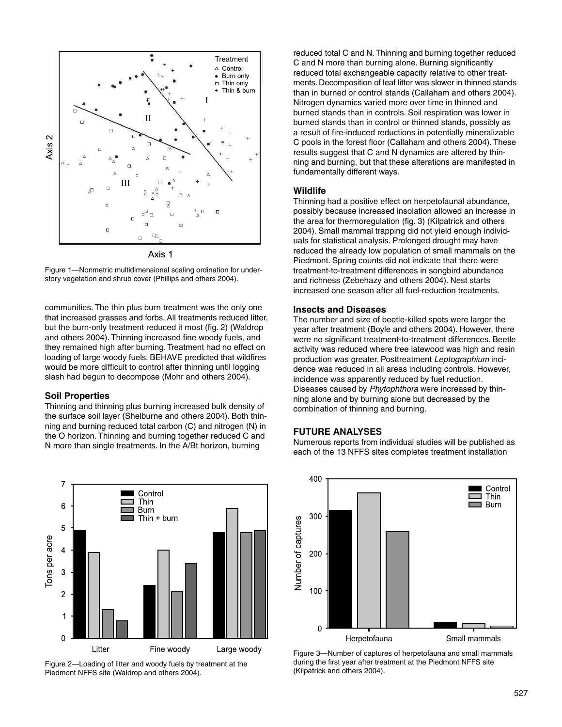

Figure 1—Nonmetric multidimensional scaling ordination for understory vegetation and shrub cover (Phillips and others 2004).

communities. The thin plus burn treatment was the only one that increased grasses and forbs. All treatments reduced litter, but the burn-only treatment reduced it most (fig. 2) (Waldrop and others 2004). Thinning increased fine woody fuels, and they remained high after burning. Treatment had no effect on loading of large woody fuels. BEHAVE predicted that wildfires would be more difficult to control after thinning until logging slash had begun to decompose (Mohr and others 2004).

#### **Soil Properties**

Thinning and thinning plus burning increased bulk density of the surface soil layer (Shelburne and others 2004). Both thinning and burning reduced total carbon (C) and nitrogen (N) in the O horizon. Thinning and burning together reduced C and N more than single treatments. In the A/Bt horizon, burning



Figure 2—Loading of litter and woody fuels by treatment at the Piedmont NFFS site (Waldrop and others 2004).

reduced total C and N. Thinning and burning together reduced C and N more than burning alone. Burning significantly reduced total exchangeable capacity relative to other treatments. Decomposition of leaf litter was slower in thinned stands than in burned or control stands (Callaham and others 2004). Nitrogen dynamics varied more over time in thinned and burned stands than in controls. Soil respiration was lower in burned stands than in control or thinned stands, possibly as a result of fire-induced reductions in potentially mineralizable C pools in the forest floor (Callaham and others 2004). These results suggest that C and N dynamics are altered by thinning and burning, but that these alterations are manifested in fundamentally different ways.

#### **Wildlife**

Thinning had a positive effect on herpetofaunal abundance, possibly because increased insolation allowed an increase in the area for thermoregulation (fig. 3) (Kilpatrick and others 2004). Small mammal trapping did not yield enough individuals for statistical analysis. Prolonged drought may have reduced the already low population of small mammals on the Piedmont. Spring counts did not indicate that there were treatment-to-treatment differences in songbird abundance and richness (Zebehazy and others 2004). Nest starts increased one season after all fuel-reduction treatments.

#### **Insects and Diseases**

The number and size of beetle-killed spots were larger the year after treatment (Boyle and others 2004). However, there were no significant treatment-to-treatment differences. Beetle activity was reduced where tree latewood was high and resin production was greater. Posttreatment Leptographium incidence was reduced in all areas including controls. However, incidence was apparently reduced by fuel reduction. Diseases caused by Phytophthora were increased by thinning alone and by burning alone but decreased by the combination of thinning and burning.

## **FUTURE ANALYSES**

Numerous reports from individual studies will be published as each of the 13 NFFS sites completes treatment installation



Figure 3—Number of captures of herpetofauna and small mammals during the first year after treatment at the Piedmont NFFS site (Kilpatrick and others 2004).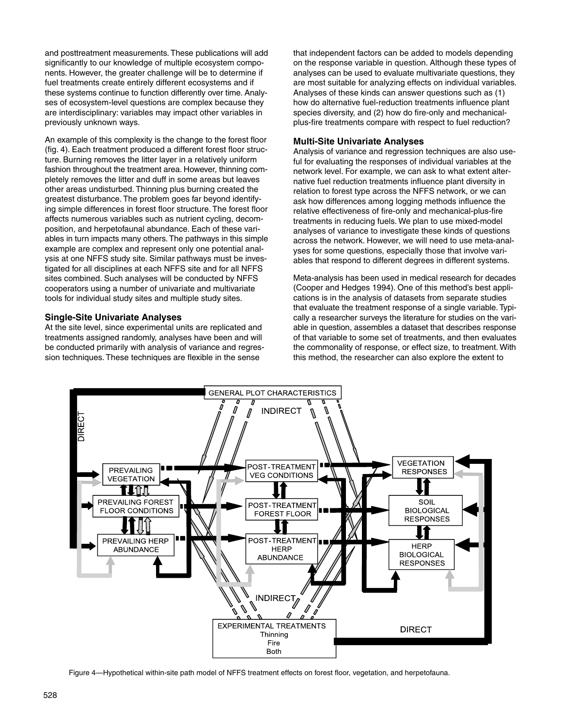and posttreatment measurements. These publications will add significantly to our knowledge of multiple ecosystem components. However, the greater challenge will be to determine if fuel treatments create entirely different ecosystems and if these systems continue to function differently over time. Analyses of ecosystem-level questions are complex because they are interdisciplinary: variables may impact other variables in previously unknown ways.

An example of this complexity is the change to the forest floor (fig. 4). Each treatment produced a different forest floor structure. Burning removes the litter layer in a relatively uniform fashion throughout the treatment area. However, thinning completely removes the litter and duff in some areas but leaves other areas undisturbed. Thinning plus burning created the greatest disturbance. The problem goes far beyond identifying simple differences in forest floor structure. The forest floor affects numerous variables such as nutrient cycling, decomposition, and herpetofaunal abundance. Each of these variables in turn impacts many others. The pathways in this simple example are complex and represent only one potential analysis at one NFFS study site. Similar pathways must be investigated for all disciplines at each NFFS site and for all NFFS sites combined. Such analyses will be conducted by NFFS cooperators using a number of univariate and multivariate tools for individual study sites and multiple study sites.

## **Single-Site Univariate Analyses**

At the site level, since experimental units are replicated and treatments assigned randomly, analyses have been and will be conducted primarily with analysis of variance and regression techniques. These techniques are flexible in the sense

that independent factors can be added to models depending on the response variable in question. Although these types of analyses can be used to evaluate multivariate questions, they are most suitable for analyzing effects on individual variables. Analyses of these kinds can answer questions such as (1) how do alternative fuel-reduction treatments influence plant species diversity, and (2) how do fire-only and mechanicalplus-fire treatments compare with respect to fuel reduction?

## **Multi-Site Univariate Analyses**

Analysis of variance and regression techniques are also useful for evaluating the responses of individual variables at the network level. For example, we can ask to what extent alternative fuel reduction treatments influence plant diversity in relation to forest type across the NFFS network, or we can ask how differences among logging methods influence the relative effectiveness of fire-only and mechanical-plus-fire treatments in reducing fuels. We plan to use mixed-model analyses of variance to investigate these kinds of questions across the network. However, we will need to use meta-analyses for some questions, especially those that involve variables that respond to different degrees in different systems.

Meta-analysis has been used in medical research for decades (Cooper and Hedges 1994). One of this method's best applications is in the analysis of datasets from separate studies that evaluate the treatment response of a single variable. Typically a researcher surveys the literature for studies on the variable in question, assembles a dataset that describes response of that variable to some set of treatments, and then evaluates the commonality of response, or effect size, to treatment. With this method, the researcher can also explore the extent to



Figure 4—Hypothetical within-site path model of NFFS treatment effects on forest floor, vegetation, and herpetofauna.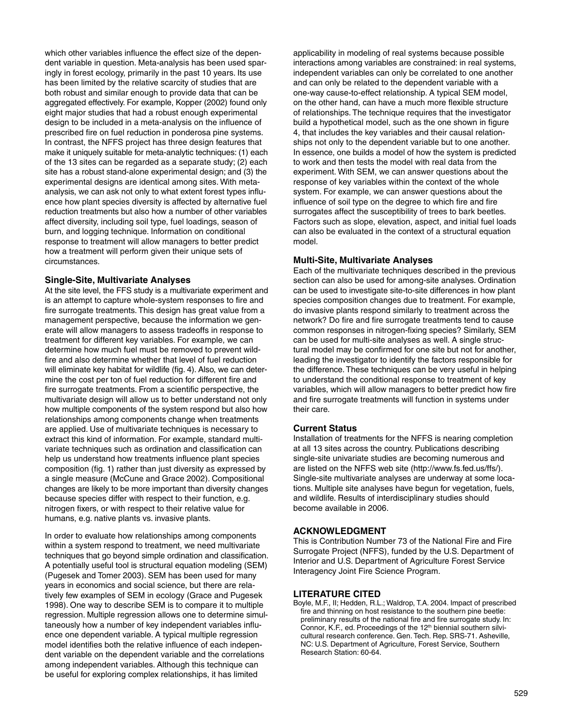which other variables influence the effect size of the dependent variable in question. Meta-analysis has been used sparingly in forest ecology, primarily in the past 10 years. Its use has been limited by the relative scarcity of studies that are both robust and similar enough to provide data that can be aggregated effectively. For example, Kopper (2002) found only eight major studies that had a robust enough experimental design to be included in a meta-analysis on the influence of prescribed fire on fuel reduction in ponderosa pine systems. In contrast, the NFFS project has three design features that make it uniquely suitable for meta-analytic techniques: (1) each of the 13 sites can be regarded as a separate study; (2) each site has a robust stand-alone experimental design; and (3) the experimental designs are identical among sites. With metaanalysis, we can ask not only to what extent forest types influence how plant species diversity is affected by alternative fuel reduction treatments but also how a number of other variables affect diversity, including soil type, fuel loadings, season of burn, and logging technique. Information on conditional response to treatment will allow managers to better predict how a treatment will perform given their unique sets of circumstances.

## **Single-Site, Multivariate Analyses**

At the site level, the FFS study is a multivariate experiment and is an attempt to capture whole-system responses to fire and fire surrogate treatments. This design has great value from a management perspective, because the information we generate will allow managers to assess tradeoffs in response to treatment for different key variables. For example, we can determine how much fuel must be removed to prevent wildfire and also determine whether that level of fuel reduction will eliminate key habitat for wildlife (fig. 4). Also, we can determine the cost per ton of fuel reduction for different fire and fire surrogate treatments. From a scientific perspective, the multivariate design will allow us to better understand not only how multiple components of the system respond but also how relationships among components change when treatments are applied. Use of multivariate techniques is necessary to extract this kind of information. For example, standard multivariate techniques such as ordination and classification can help us understand how treatments influence plant species composition (fig. 1) rather than just diversity as expressed by a single measure (McCune and Grace 2002). Compositional changes are likely to be more important than diversity changes because species differ with respect to their function, e.g. nitrogen fixers, or with respect to their relative value for humans, e.g. native plants vs. invasive plants.

In order to evaluate how relationships among components within a system respond to treatment, we need multivariate techniques that go beyond simple ordination and classification. A potentially useful tool is structural equation modeling (SEM) (Pugesek and Tomer 2003). SEM has been used for many years in economics and social science, but there are relatively few examples of SEM in ecology (Grace and Pugesek 1998). One way to describe SEM is to compare it to multiple regression. Multiple regression allows one to determine simultaneously how a number of key independent variables influence one dependent variable. A typical multiple regression model identifies both the relative influence of each independent variable on the dependent variable and the correlations among independent variables. Although this technique can be useful for exploring complex relationships, it has limited

applicability in modeling of real systems because possible interactions among variables are constrained: in real systems, independent variables can only be correlated to one another and can only be related to the dependent variable with a one-way cause-to-effect relationship. A typical SEM model, on the other hand, can have a much more flexible structure of relationships. The technique requires that the investigator build a hypothetical model, such as the one shown in figure 4, that includes the key variables and their causal relationships not only to the dependent variable but to one another. In essence, one builds a model of how the system is predicted to work and then tests the model with real data from the experiment. With SEM, we can answer questions about the response of key variables within the context of the whole system. For example, we can answer questions about the influence of soil type on the degree to which fire and fire surrogates affect the susceptibility of trees to bark beetles. Factors such as slope, elevation, aspect, and initial fuel loads can also be evaluated in the context of a structural equation model.

#### **Multi-Site, Multivariate Analyses**

Each of the multivariate techniques described in the previous section can also be used for among-site analyses. Ordination can be used to investigate site-to-site differences in how plant species composition changes due to treatment. For example, do invasive plants respond similarly to treatment across the network? Do fire and fire surrogate treatments tend to cause common responses in nitrogen-fixing species? Similarly, SEM can be used for multi-site analyses as well. A single structural model may be confirmed for one site but not for another, leading the investigator to identify the factors responsible for the difference. These techniques can be very useful in helping to understand the conditional response to treatment of key variables, which will allow managers to better predict how fire and fire surrogate treatments will function in systems under their care.

#### **Current Status**

Installation of treatments for the NFFS is nearing completion at all 13 sites across the country. Publications describing single-site univariate studies are becoming numerous and are listed on the NFFS web site (http://www.fs.fed.us/ffs/). Single-site multivariate analyses are underway at some locations. Multiple site analyses have begun for vegetation, fuels, and wildlife. Results of interdisciplinary studies should become available in 2006.

#### **ACKNOWLEDGMENT**

This is Contribution Number 73 of the National Fire and Fire Surrogate Project (NFFS), funded by the U.S. Department of Interior and U.S. Department of Agriculture Forest Service Interagency Joint Fire Science Program.

#### **LITERATURE CITED**

Boyle, M.F., II; Hedden, R.L.; Waldrop, T.A. 2004. Impact of prescribed fire and thinning on host resistance to the southern pine beetle: preliminary results of the national fire and fire surrogate study. In: Connor, K.F., ed. Proceedings of the 12<sup>th</sup> biennial southern silvicultural research conference. Gen. Tech. Rep. SRS-71. Asheville, NC: U.S. Department of Agriculture, Forest Service, Southern Research Station: 60-64.